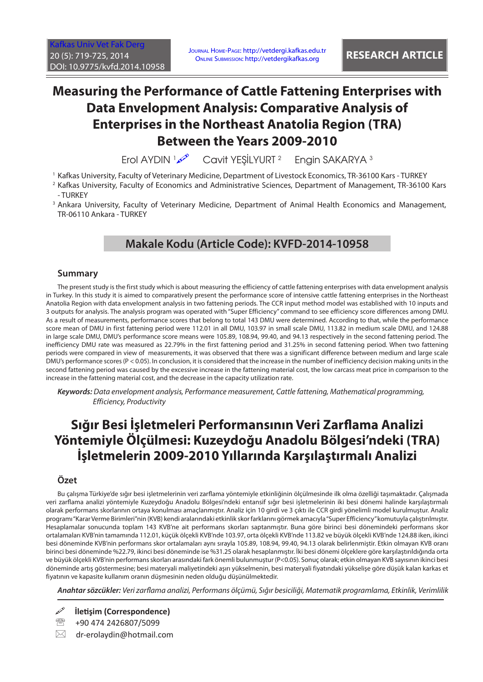[Kafkas Univ Vet Fak Derg](http://vetdergi.kafkas.edu.tr/) 20 (5): 719-725, 2014 DOI: 10.9775/kvfd.2014.10958

# **Measuring the Performance of Cattle Fattening Enterprises with Data Envelopment Analysis: Comparative Analysis of Enterprises in the Northeast Anatolia Region (TRA) Between the Years 2009-2010**

Erol AYDIN محمد Cavit YEŞİLYURT <sup>2</sup> Engin SAKARYA 3

1 Kafkas University, Faculty of Veterinary Medicine, Department of Livestock Economics, TR-36100 Kars - TURKEY

3 Ankara University, Faculty of Veterinary Medicine, Department of Animal Health Economics and Management, TR-06110 Ankara - TURKEY

## **Makale Kodu (Article Code): KVFD-2014-10958**

### **Summary**

The present study is the first study which is about measuring the efficiency of cattle fattening enterprises with data envelopment analysis in Turkey. In this study it is aimed to comparatively present the performance score of intensive cattle fattening enterprises in the Northeast Anatolia Region with data envelopment analysis in two fattening periods. The CCR input method model was established with 10 inputs and 3 outputs for analysis. The analysis program was operated with "Super Efficiency" command to see efficiency score differences among DMU. As a result of measurements, performance scores that belong to total 143 DMU were determined. According to that, while the performance score mean of DMU in first fattening period were 112.01 in all DMU, 103.97 in small scale DMU, 113.82 in medium scale DMU, and 124.88 in large scale DMU, DMU's performance score means were 105.89, 108.94, 99.40, and 94.13 respectively in the second fattening period. The inefficiency DMU rate was measured as 22.79% in the first fattening period and 31.25% in second fattening period. When two fattening periods were compared in view of measurements, it was observed that there was a significant difference between medium and large scale DMU's performance scores (P < 0.05). In conclusion, it is considered that the increase in the number of inefficiency decision making units in the second fattening period was caused by the excessive increase in the fattening material cost, the low carcass meat price in comparison to the increase in the fattening material cost, and the decrease in the capacity utilization rate.

*Keywords: Data envelopment analysis, Performance measurement, Cattle fattening, Mathematical programming, Efficiency, Productivity*

# **Sığır Besi İşletmeleri Performansının Veri Zarflama Analizi Yöntemiyle Ölçülmesi: Kuzeydoğu Anadolu Bölgesi'ndeki (TRA) İşletmelerin 2009-2010 Yıllarında Karşılaştırmalı Analizi**

### **Özet**

Bu çalışma Türkiye'de sığır besi işletmelerinin veri zarflama yöntemiyle etkinliğinin ölçülmesinde ilk olma özelliği taşımaktadır. Çalışmada veri zarflama analizi yöntemiyle Kuzeydoğu Anadolu Bölgesi'ndeki entansif sığır besi işletmelerinin iki besi dönemi halinde karşılaştırmalı olarak performans skorlarının ortaya konulması amaçlanmıştır. Analiz için 10 girdi ve 3 çıktı ile CCR girdi yönelimli model kurulmuştur. Analiz programı "Karar Verme Birimleri"nin (KVB) kendi aralarındaki etkinlik skor farklarını görmek amacıyla "Super Efficiency" komutuyla çalıştırılmıştır. Hesaplamalar sonucunda toplam 143 KVB'ne ait performans skorları saptanmıştır. Buna göre birinci besi dönemindeki performans skor ortalamaları KVB'nin tamamında 112.01, küçük ölçekli KVB'nde 103.97, orta ölçekli KVB'nde 113.82 ve büyük ölçekli KVB'nde 124.88 iken, ikinci besi döneminde KVB'nin performans skor ortalamaları aynı sırayla 105.89, 108.94, 99.40, 94.13 olarak belirlenmiştir. Etkin olmayan KVB oranı birinci besi döneminde %22.79, ikinci besi döneminde ise %31.25 olarak hesaplanmıştır. İki besi dönemi ölçeklere göre karşılaştırıldığında orta ve büyük ölçekli KVB'nin performans skorları arasındaki fark önemli bulunmuştur (P<0.05). Sonuç olarak; etkin olmayan KVB sayısının ikinci besi döneminde artış göstermesine; besi materyali maliyetindeki aşırı yükselmenin, besi materyali fiyatındaki yükselişe göre düşük kalan karkas et fiyatının ve kapasite kullanım oranın düşmesinin neden olduğu düşünülmektedir.

*Anahtar sözcükler: Veri zarflama analizi, Performans ölçümü, Sığır besiciliği, Matematik programlama, Etkinlik, Verimlilik*

**İletişim (Correspondence)**

- <sup>2</sup> +90 474 2426807/5099
- $\boxtimes$  dr-erolaydin@hotmail.com

<sup>2</sup> Kafkas University, Faculty of Economics and Administrative Sciences, Department of Management, TR-36100 Kars - TURKEY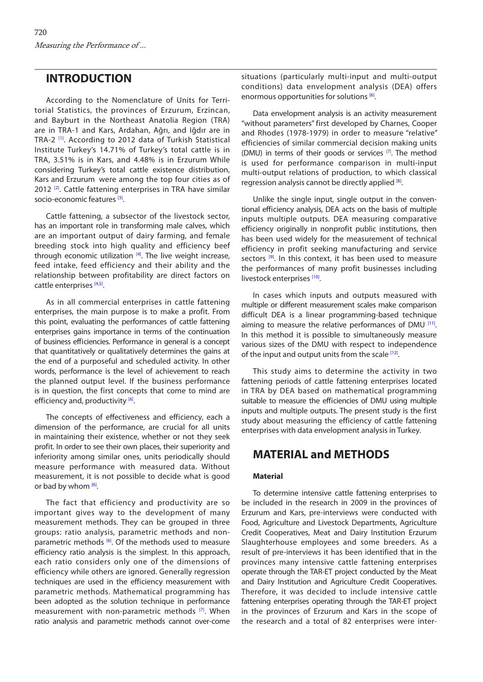## **INTRODUCTION**

According to the Nomenclature of Units for Territorial Statistics, the provinces of Erzurum, Erzincan, and Bayburt in the Northeast Anatolia Region (TRA) are in TRA-1 and Kars, Ardahan, Ağrı, and Iğdır are in TRA-2<sup>[1]</sup>. According to 2012 data of Turkish Statistical Institute Turkey's 14.71% of Turkey's total cattle is in TRA, 3.51% is in Kars, and 4.48% is in Erzurum While considering Turkey's total cattle existence distribution, Kars and Erzurum were among the top four cities as of 2012 [\[2\]](#page-6-0). Cattle fattening enterprises in TRA have similar socio-economic features [\[3\]](#page-6-0).

Cattle fattening, a subsector of the livestock sector, has an important role in transforming male calves, which are an important output of dairy farming, and female breeding stock into high quality and efficiency beef through economic utilization  $[4]$ . The live weight increase, feed intake, feed efficiency and their ability and the relationship between profitability are direct factors on cattle enterprises [\[4,5\].](#page-6-0)

As in all commercial enterprises in cattle fattening enterprises, the main purpose is to make a profit. From this point, evaluating the performances of cattle fattening enterprises gains importance in terms of the continuation of business efficiencies. Performance in general is a concept that quantitatively or qualitatively determines the gains at the end of a purposeful and scheduled activity. In other words, performance is the level of achievement to reach the planned output level. If the business performance is in question, the first concepts that come to mind are efficiency and, productivity [\[6\]](#page-6-0).

The concepts of effectiveness and efficiency, each a dimension of the performance, are crucial for all units in maintaining their existence, whether or not they seek profit. In order to see their own places, their superiority and inferiority among similar ones, units periodically should measure performance with measured data. Without measurement, it is not possible to decide what is good or bad by whom  $[6]$ .

The fact that efficiency and productivity are so important gives way to the development of many measurement methods. They can be grouped in three groups: ratio analysis, parametric methods and non-parametric methods [\[6\]](#page-6-0). Of the methods used to measure efficiency ratio analysis is the simplest. In this approach, each ratio considers only one of the dimensions of efficiency while others are ignored. Generally regression techniques are used in the efficiency measurement with parametric methods. Mathematical programming has been adopted as the solution technique in performance measurement with non-parametric methods [\[7\]](#page-6-0). When ratio analysis and parametric methods cannot over-come

situations (particularly multi-input and multi-output conditions) data envelopment analysis (DEA) offers enormous opportunities for solutions [\[6\].](#page-6-0)

Data envelopment analysis is an activity measurement "without parameters" first developed by Charnes, Cooper and Rhodes (1978-1979) in order to measure "relative" efficiencies of similar commercial decision making units (DMU) in terms of their goods or services  $[7]$ . The method is used for performance comparison in multi-input multi-output relations of production, to which classical regression analysis cannot be directly applied  $[8]$ .

Unlike the single input, single output in the conventional efficiency analysis, DEA acts on the basis of multiple inputs multiple outputs. DEA measuring comparative efficiency originally in nonprofit public institutions, then has been used widely for the measurement of technical efficiency in profit seeking manufacturing and service sectors <sup>[9]</sup>. In this context, it has been used to measure the performances of many profit businesses including livestock enterprises<sup>[10]</sup>.

In cases which inputs and outputs measured with multiple or different measurement scales make comparison difficult DEA is a linear programming-based technique aiming to measure the relative performances of DMU  $[11]$ . In this method it is possible to simultaneously measure various sizes of the DMU with respect to independence of the input and output units from the scale  $[12]$ .

This study aims to determine the activity in two fattening periods of cattle fattening enterprises located in TRA by DEA based on mathematical programming suitable to measure the efficiencies of DMU using multiple inputs and multiple outputs. The present study is the first study about measuring the efficiency of cattle fattening enterprises with data envelopment analysis in Turkey.

### **MATERIAL and METHODS**

### **Material**

To determine intensive cattle fattening enterprises to be included in the research in 2009 in the provinces of Erzurum and Kars, pre-interviews were conducted with Food, Agriculture and Livestock Departments, Agriculture Credit Cooperatives, Meat and Dairy Institution Erzurum Slaughterhouse employees and some breeders. As a result of pre-interviews it has been identified that in the provinces many intensive cattle fattening enterprises operate through the TAR-ET project conducted by the Meat and Dairy Institution and Agriculture Credit Cooperatives. Therefore, it was decided to include intensive cattle fattening enterprises operating through the TAR-ET project in the provinces of Erzurum and Kars in the scope of the research and a total of 82 enterprises were inter-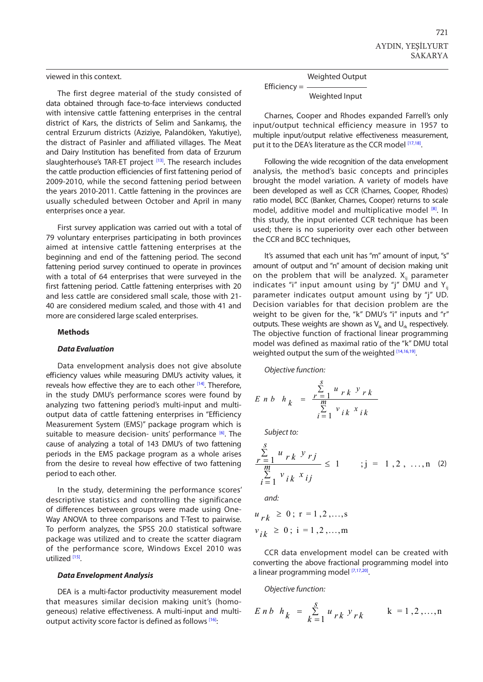### viewed in this context.

The first degree material of the study consisted of data obtained through face-to-face interviews conducted with intensive cattle fattening enterprises in the central district of Kars, the districts of Selim and Sarıkamış, the central Erzurum districts (Aziziye, Palandöken, Yakutiye), the distract of Pasinler and affiliated villages. The Meat and Dairy Institution has benefited from data of Erzurum slaughterhouse's TAR-ET project [\[13\].](#page-6-0) The research includes the cattle production efficiencies of first fattening period of 2009-2010, while the second fattening period between the years 2010-2011. Cattle fattening in the provinces are usually scheduled between October and April in many enterprises once a year.

First survey application was carried out with a total of 79 voluntary enterprises participating in both provinces aimed at intensive cattle fattening enterprises at the beginning and end of the fattening period. The second fattening period survey continued to operate in provinces with a total of 64 enterprises that were surveyed in the first fattening period. Cattle fattening enterprises with 20 and less cattle are considered small scale, those with 21- 40 are considered medium scaled, and those with 41 and more are considered large scaled enterprises.

#### **Methods**

#### *Data Evaluation*

Data envelopment analysis does not give absolute efficiency values while measuring DMU's activity values, it reveals how effective they are to each other [\[14\].](#page-6-0) Therefore, in the study DMU's performance scores were found by analyzing two fattening period's multi-input and multioutput data of cattle fattening enterprises in "Efficiency Measurement System (EMS)" package program which is suitable to measure decision- units' performance <sup>[6]</sup>. The cause of analyzing a total of 143 DMU's of two fattening periods in the EMS package program as a whole arises from the desire to reveal how effective of two fattening period to each other.

In the study, determining the performance scores' descriptive statistics and controlling the significance of differences between groups were made using One-Way ANOVA to three comparisons and T-Test to pairwise. To perform analyzes, the SPSS 20.0 statistical software package was utilized and to create the scatter diagram of the performance score, Windows Excel 2010 was utilized [\[15\].](#page-6-0)

#### *Data Envelopment Analysis*

DEA is a multi-factor productivity measurement model that measures similar decision making unit's (homogeneous) relative effectiveness. A multi-input and multi-output activity score factor is defined as follows [\[16\]:](#page-6-0)

Weighted Output

Efficiency = Weighted Input

Charnes, Cooper and Rhodes expanded Farrell's only input/output technical efficiency measure in 1957 to multiple input/output relative effectiveness measurement, put it to the DEA's literature as the CCR model [\[17,18\].](#page-6-0)

Following the wide recognition of the data envelopment analysis, the method's basic concepts and principles brought the model variation. A variety of models have been developed as well as CCR (Charnes, Cooper, Rhodes) ratio model, BCC (Banker, Charnes, Cooper) returns to scale model, additive model and multiplicative model [\[8\]](#page-6-0). In this study, the input oriented CCR technique has been used; there is no superiority over each other between the CCR and BCC techniques,

It's assumed that each unit has "m" amount of input, "s" amount of output and "n" amount of decision making unit on the problem that will be analyzed.  $X_{ii}$  parameter indicates "i" input amount using by "j" DMU and  $Y_{ii}$ parameter indicates output amount using by "j" UD. Decision variables for that decision problem are the weight to be given for the, "k" DMU's "i" inputs and "r" outputs. These weights are shown as  $V_{ik}$  and  $U_{ik}$  respectively. The objective function of fractional linear programming model was defined as maximal ratio of the "k" DMU total weighted output the sum of the weighted  $^{[14,16,19]}$  $^{[14,16,19]}$  $^{[14,16,19]}$ .

*Objective function:*  $\overline{a}$ *u y rk rk <sup>r</sup> Enb h <sup>k</sup> <sup>m</sup>* inction:

$$
\begin{aligned}\n\text{Objective function:} \\
E \quad n \quad b \quad h \quad k &= \frac{r-1}{m} \frac{u \quad r \quad k \quad \text{y} \quad r \quad k}{\sum_{i=1}^{m} v \quad i \quad k \quad \text{x} \quad i \quad k}\n\end{aligned}
$$

*Subject to: s*

$$
\frac{\sum_{r=1}^{S} u_{rk} y_{rj}}{\sum_{i=1}^{m} v_{ik} x_{ij}} \le 1 \qquad ; j = 1, 2, ..., n \quad (2)
$$
  
and:

*<sup>u</sup> r k*  $v_{ik} \ge 0$ ; i = 1,2,...,m  $u_{rk} \geq 0$ ;  $r = 1, 2, ..., s$ 

CCR data envelopment model can be created with **converting the above fractional programming model into** *converting the above fractional programming model into* a linear programming model [\[7,17,20\].](#page-6-0) *s v i k*

*Objective function:* 

$$
E \, n \, b \, h_k = \sum_{k=1}^{S} u_{rk} \, y_{rk} \qquad k = 1, 2, ..., n
$$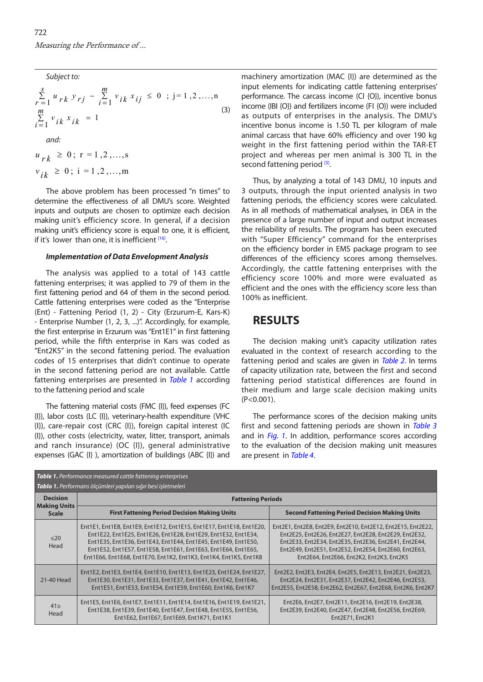*Subject to:* 

Subject to:  
\n
$$
\sum_{r=1}^{S} u_{rk} y_{rj} - \sum_{i=1}^{m} v_{ik} x_{ij} \le 0 \; ; \; j = 1, 2, ..., n
$$
\n
$$
\sum_{i=1}^{m} v_{ik} x_{ik} = 1
$$
\nand:  
\n
$$
u_{rk} \ge 0; r = 1, 2, ..., s
$$
\n(3)

 $0; 7, 1, 2, ...$  $u_{rk}$ 

 $v \cdot \frac{1}{2}$  $v_{ik} \ge 0$ ; i = 1,2,...,m

The above problem has been processed "n times" to determine the effectiveness of all DMU's score. Weighted inputs and outputs are chosen to optimize each decision making unit's efficiency score. In general, if a decision making unit's efficiency score is equal to one, it is efficient, if it's lower than one, it is inefficient [\[16\]](#page-6-0). *v i k*

#### *Implementation of Data Envelopment Analysis*

The analysis was applied to a total of 143 cattle fattening enterprises; it was applied to 79 of them in the first fattening period and 64 of them in the second period. Cattle fattening enterprises were coded as the "Enterprise (Ent) - Fattening Period (1, 2) - City (Erzurum-E, Kars-K) - Enterprise Number (1, 2, 3, ...)". Accordingly, for example, the first enterprise in Erzurum was "Ent1E1" in first fattening period, while the fifth enterprise in Kars was coded as "Ent2K5" in the second fattening period. The evaluation codes of 15 enterprises that didn't continue to operate in the second fattening period are not available. Cattle fattening enterprises are presented in *Table 1* according to the fattening period and scale

The fattening material costs (FMC {I}), feed expenses (FC {I}), labor costs (LC {I}), veterinary-health expenditure (VHC {I}), care-repair cost (CRC {I}), foreign capital interest (IC {I}), other costs (electricity, water, litter, transport, animals and ranch insurance) (OC {I}), general administrative expenses (GAC {I} ), amortization of buildings (ABC {I}) and machinery amortization (MAC {I}) are determined as the input elements for indicating cattle fattening enterprises' performance. The carcass income (CI {O}), incentive bonus income (IBI {O}) and fertilizers income (FI {O}) were included as outputs of enterprises in the analysis. The DMU's incentive bonus income is 1.50 TL per kilogram of male animal carcass that have 60% efficiency and over 190 kg weight in the first fattening period within the TAR-ET project and whereas per men animal is 300 TL in the second fattening period [\[3\]](#page-6-0).

Thus, by analyzing a total of 143 DMU, 10 inputs and 3 outputs, through the input oriented analysis in two fattening periods, the efficiency scores were calculated. As in all methods of mathematical analyses, in DEA in the presence of a large number of input and output increases the reliability of results. The program has been executed with "Super Efficiency" command for the enterprises on the efficiency border in EMS package program to see differences of the efficiency scores among themselves. Accordingly, the cattle fattening enterprises with the efficiency score 100% and more were evaluated as efficient and the ones with the efficiency score less than 100% as inefficient.

## **RESULTS**

The decision making unit's capacity utilization rates evaluated in the context of research according to the fattening period and scales are given in *[Table 2](#page-4-0)*. In terms of capacity utilization rate, between the first and second fattening period statistical differences are found in their medium and large scale decision making units (P<0.001).

The performance scores of the decision making units first and second fattening periods are shown in *[Table 3](#page-4-0)* and in *[Fig. 1](#page-5-0)*. In addition, performance scores according to the evaluation of the decision making unit measures are present in *[Table 4](#page-5-0)*.

| Table 1. Performance measured cattle fattening enterprises   |                                                                                                                                                                                                                                                                                                                                                 |                                                                                                                                                                                                                                                                                    |  |  |  |  |  |
|--------------------------------------------------------------|-------------------------------------------------------------------------------------------------------------------------------------------------------------------------------------------------------------------------------------------------------------------------------------------------------------------------------------------------|------------------------------------------------------------------------------------------------------------------------------------------------------------------------------------------------------------------------------------------------------------------------------------|--|--|--|--|--|
| Tablo 1. Performans ölçümleri yapılan sığır besi işletmeleri |                                                                                                                                                                                                                                                                                                                                                 |                                                                                                                                                                                                                                                                                    |  |  |  |  |  |
| <b>Decision</b><br><b>Making Units</b><br><b>Scale</b>       | <b>Fattening Periods</b>                                                                                                                                                                                                                                                                                                                        |                                                                                                                                                                                                                                                                                    |  |  |  |  |  |
|                                                              | <b>First Fattening Period Decision Making Units</b>                                                                                                                                                                                                                                                                                             | <b>Second Fattening Period Decision Making Units</b>                                                                                                                                                                                                                               |  |  |  |  |  |
| $\leq$ 20<br>Head                                            | Ent1E1, Ent1E8, Ent1E9, Ent1E12, Ent1E15, Ent1E17, Ent1E18, Ent1E20,<br>Ent1E22, Ent1E25, Ent1E26, Ent1E28, Ent1E29, Ent1E32, Ent1E34,<br>Ent1E35, Ent1E36, Ent1E43, Ent1E44, Ent1E45, Ent1E49, Ent1E50,<br>Ent1E52, Ent1E57, Ent1E58, Ent1E61, Ent1E63, Ent1E64, Ent1E65,<br>Ent1E66, Ent1E68, Ent1E70, Ent1K2, Ent1K3, Ent1K4, Ent1K5, Ent1K8 | Ent2E1, Ent2E8, Ent2E9, Ent2E10, Ent2E12, Ent2E15, Ent2E22,<br>Ent2E25, Ent2E26, Ent2E27, Ent2E28, Ent2E29, Ent2E32,<br>Ent2E33, Ent2E34, Ent2E35, Ent2E36, Ent2E41, Ent2E44,<br>Ent2E49, Ent2E51, Ent2E52, Ent2E54, Ent2E60, Ent2E63,<br>Ent2E64, Ent2E66, Ent2K2, Ent2K3, Ent2K5 |  |  |  |  |  |
| 21-40 Head                                                   | Ent1E2, Ent1E3, Ent1E4, Ent1E10, Ent1E13, Ent1E23, Ent1E24, Ent1E27,<br>Ent1E30, Ent1E31, Ent1E33, Ent1E37, Ent1E41, Ent1E42, Ent1E46,<br>Ent1E51, Ent1E53, Ent1E54, Ent1E59, Ent1E60, Ent1K6, Ent1K7                                                                                                                                           | Ent2E2, Ent2E3, Ent2E4, Ent2E5, Ent2E13, Ent2E21, Ent2E23,<br>Ent2E24, Ent2E31, Ent2E37, Ent2E42, Ent2E46, Ent2E53,<br>Ent2E55, Ent2E58, Ent2E62, Ent2E67, Ent2E68, Ent2K6, Ent2K7                                                                                                 |  |  |  |  |  |
| $41 \geq$<br>Head                                            | Ent1E5, Ent1E6, Ent1E7, Ent1E11, Ent1E14, Ent1E16, Ent1E19, Ent1E21,<br>Ent1E38, Ent1E39, Ent1E40, Ent1E47, Ent1E48, Ent1E55, Ent1E56,<br>Ent1E62, Ent1E67, Ent1E69, Ent1K71, Ent1K1                                                                                                                                                            | Ent2E6, Ent2E7, Ent2E11, Ent2E16, Ent2E19, Ent2E38,<br>Ent2E39, Ent2E40, Ent2E47, Ent2E48, Ent2E56, Ent2E69,<br>Ent2E71, Ent2K1                                                                                                                                                    |  |  |  |  |  |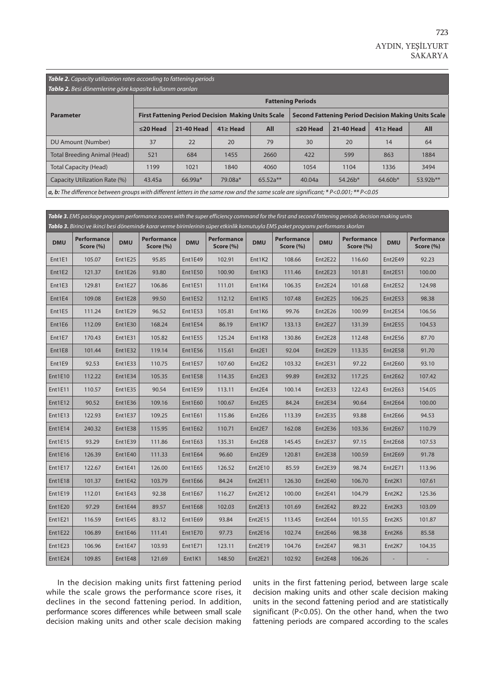# <span id="page-4-0"></span>*Table 2. Capacity utilization rates according to fattening periods*

| <b>Tablo 2.</b> Besi dönemlerine göre kapasite kullanım oranları                                                                                                                                                                                                                                                                |                          |                                                           |                |            |                                                            |            |                |          |  |  |
|---------------------------------------------------------------------------------------------------------------------------------------------------------------------------------------------------------------------------------------------------------------------------------------------------------------------------------|--------------------------|-----------------------------------------------------------|----------------|------------|------------------------------------------------------------|------------|----------------|----------|--|--|
|                                                                                                                                                                                                                                                                                                                                 | <b>Fattening Periods</b> |                                                           |                |            |                                                            |            |                |          |  |  |
| <b>Parameter</b>                                                                                                                                                                                                                                                                                                                |                          | <b>First Fattening Period Decision Making Units Scale</b> |                |            | <b>Second Fattening Period Decision Making Units Scale</b> |            |                |          |  |  |
|                                                                                                                                                                                                                                                                                                                                 | $\leq$ 20 Head           | 21-40 Head                                                | $41 \geq$ Head | <b>All</b> | $\leq$ 20 Head                                             | 21-40 Head | $41 \geq$ Head | All      |  |  |
| DU Amount (Number)                                                                                                                                                                                                                                                                                                              | 37                       | 22                                                        | 20             | 79         | 30                                                         | 20         | 14             | 64       |  |  |
| Total Breeding Animal (Head)                                                                                                                                                                                                                                                                                                    | 521                      | 684                                                       | 1455           | 2660       | 422                                                        | 599        | 863            | 1884     |  |  |
| <b>Total Capacity (Head)</b>                                                                                                                                                                                                                                                                                                    | 1199                     | 1021                                                      | 1840           | 4060       | 1054                                                       | 1104       | 1336           | 3494     |  |  |
| Capacity Utilization Rate (%)                                                                                                                                                                                                                                                                                                   | 43.45a                   | $66.99a*$                                                 | 79.08a*        | $65.52a**$ | 40.04a                                                     | $54.26*$   | $64.60*$       | 53.92b** |  |  |
| $\mathcal{L}$ , $\mathcal{L}$ , $\mathcal{L}$ , $\mathcal{L}$ , $\mathcal{L}$ , $\mathcal{L}$ , $\mathcal{L}$ , $\mathcal{L}$ , $\mathcal{L}$ , $\mathcal{L}$ , $\mathcal{L}$ , $\mathcal{L}$ , $\mathcal{L}$ , $\mathcal{L}$ , $\mathcal{L}$ , $\mathcal{L}$ , $\mathcal{L}$ , $\mathcal{L}$ , $\mathcal{L}$ , $\mathcal{L}$ , |                          |                                                           |                |            |                                                            |            |                |          |  |  |

*a, b: The difference between groups with different letters in the same row and the same scale are significant; \* P<0.001; \*\* P<0.05*

| Table 3. EMS package program performance scores with the super efficiency command for the first and second fattening periods decision making units<br>Tablo 3. Birinci ve ikinci besi döneminde karar verme birimlerinin süper etkinlik komutuyla EMS paket programı performans skorları |                                 |                |                          |                |                                     |                    |                                 |                                  |                                 |                                 |                                 |
|------------------------------------------------------------------------------------------------------------------------------------------------------------------------------------------------------------------------------------------------------------------------------------------|---------------------------------|----------------|--------------------------|----------------|-------------------------------------|--------------------|---------------------------------|----------------------------------|---------------------------------|---------------------------------|---------------------------------|
| <b>DMU</b>                                                                                                                                                                                                                                                                               | <b>Performance</b><br>Score (%) | <b>DMU</b>     | Performance<br>Score (%) | <b>DMU</b>     | <b>Performance</b><br>Score $(\% )$ | <b>DMU</b>         | <b>Performance</b><br>Score (%) | <b>DMU</b>                       | <b>Performance</b><br>Score (%) | <b>DMU</b>                      | <b>Performance</b><br>Score (%) |
| Ent1E1                                                                                                                                                                                                                                                                                   | 105.07                          | <b>Ent1E25</b> | 95.85                    | <b>Ent1E49</b> | 102.91                              | Ent1K2             | 108.66                          | Ent2E22                          | 116.60                          | Ent2E49                         | 92.23                           |
| Ent1E2                                                                                                                                                                                                                                                                                   | 121.37                          | Ent1E26        | 93.80                    | <b>Ent1E50</b> | 100.90                              | Ent1K3             | 111.46                          | Ent <sub>2</sub> E <sub>23</sub> | 101.81                          | <b>Ent2E51</b>                  | 100.00                          |
| Ent1E3                                                                                                                                                                                                                                                                                   | 129.81                          | Ent1E27        | 106.86                   | Ent1E51        | 111.01                              | Ent1K4             | 106.35                          | Ent2E24                          | 101.68                          | <b>Ent2E52</b>                  | 124.98                          |
| Ent1E4                                                                                                                                                                                                                                                                                   | 109.08                          | Ent1E28        | 99.50                    | Ent1E52        | 112.12                              | Ent1K5             | 107.48                          | Ent2E25                          | 106.25                          | Ent2E53                         | 98.38                           |
| Ent1E5                                                                                                                                                                                                                                                                                   | 111.24                          | Ent1E29        | 96.52                    | Ent1E53        | 105.81                              | Ent1K6             | 99.76                           | Ent2E26                          | 100.99                          | Ent2E54                         | 106.56                          |
| Ent1E6                                                                                                                                                                                                                                                                                   | 112.09                          | Ent1E30        | 168.24                   | Ent1E54        | 86.19                               | Ent1K7             | 133.13                          | Ent2E27                          | 131.39                          | Ent2E55                         | 104.53                          |
| Ent1E7                                                                                                                                                                                                                                                                                   | 170.43                          | Ent1E31        | 105.82                   | Ent1E55        | 125.24                              | Ent1K8             | 130.86                          | Ent2E28                          | 112.48                          | Ent2E56                         | 87.70                           |
| Ent1E8                                                                                                                                                                                                                                                                                   | 101.44                          | Ent1E32        | 119.14                   | Ent1E56        | 115.61                              | Ent2E1             | 92.04                           | Ent2E29                          | 113.35                          | Ent2E58                         | 91.70                           |
| Ent1E9                                                                                                                                                                                                                                                                                   | 92.53                           | Ent1E33        | 110.75                   | <b>Ent1E57</b> | 107.60                              | Ent2E2             | 103.32                          | Ent2E31                          | 97.22                           | Ent2E60                         | 93.10                           |
| Ent1E10                                                                                                                                                                                                                                                                                  | 112.22                          | Ent1E34        | 105.35                   | Ent1E58        | 114.35                              | Ent2E3             | 99.89                           | Ent2E32                          | 117.25                          | Ent2E62                         | 107.42                          |
| Ent1E11                                                                                                                                                                                                                                                                                  | 110.57                          | Ent1E35        | 90.54                    | Ent1E59        | 113.11                              | Ent <sub>2E4</sub> | 100.14                          | Ent2E33                          | 122.43                          | Ent2E63                         | 154.05                          |
| Ent1E12                                                                                                                                                                                                                                                                                  | 90.52                           | Ent1E36        | 109.16                   | <b>Ent1E60</b> | 100.67                              | Ent2E5             | 84.24                           | Ent2E34                          | 90.64                           | Ent2E64                         | 100.00                          |
| Ent1E13                                                                                                                                                                                                                                                                                  | 122.93                          | Ent1E37        | 109.25                   | Ent1E61        | 115.86                              | Ent <sub>2E6</sub> | 113.39                          | Ent2E35                          | 93.88                           | Ent2E66                         | 94.53                           |
| Ent1E14                                                                                                                                                                                                                                                                                  | 240.32                          | Ent1E38        | 115.95                   | Ent1E62        | 110.71                              | Ent2E7             | 162.08                          | Ent2E36                          | 103.36                          | Ent2E67                         | 110.79                          |
| Ent1E15                                                                                                                                                                                                                                                                                  | 93.29                           | Ent1E39        | 111.86                   | Ent1E63        | 135.31                              | Ent <sub>2E8</sub> | 145.45                          | Ent2E37                          | 97.15                           | Ent2E68                         | 107.53                          |
| Ent1E16                                                                                                                                                                                                                                                                                  | 126.39                          | Ent1E40        | 111.33                   | Ent1E64        | 96.60                               | Ent2E9             | 120.81                          | Ent2E38                          | 100.59                          | Ent2E69                         | 91.78                           |
| Ent1E17                                                                                                                                                                                                                                                                                  | 122.67                          | Ent1E41        | 126.00                   | Ent1E65        | 126.52                              | Ent2E10            | 85.59                           | Ent2E39                          | 98.74                           | Ent2E71                         | 113.96                          |
| Ent1E18                                                                                                                                                                                                                                                                                  | 101.37                          | <b>Ent1E42</b> | 103.79                   | Ent1E66        | 84.24                               | Ent2E11            | 126.30                          | Ent2E40                          | 106.70                          | Ent <sub>2K1</sub>              | 107.61                          |
| Ent1E19                                                                                                                                                                                                                                                                                  | 112.01                          | Ent1E43        | 92.38                    | Ent1E67        | 116.27                              | Ent2E12            | 100.00                          | Ent2E41                          | 104.79                          | Ent <sub>2</sub> K <sub>2</sub> | 125.36                          |
| <b>Ent1E20</b>                                                                                                                                                                                                                                                                           | 97.29                           | Ent1E44        | 89.57                    | Ent1E68        | 102.03                              | Ent2E13            | 101.69                          | Ent2E42                          | 89.22                           | Ent <sub>2K3</sub>              | 103.09                          |
| Ent1E21                                                                                                                                                                                                                                                                                  | 116.59                          | Ent1E45        | 83.12                    | Ent1E69        | 93.84                               | Ent2E15            | 113.45                          | Ent2E44                          | 101.55                          | Ent <sub>2K5</sub>              | 101.87                          |
| Ent1E22                                                                                                                                                                                                                                                                                  | 106.89                          | Ent1E46        | 111.41                   | Ent1E70        | 97.73                               | Ent2E16            | 102.74                          | Ent2E46                          | 98.38                           | Ent <sub>2K6</sub>              | 85.58                           |
| Ent1E23                                                                                                                                                                                                                                                                                  | 106.96                          | Ent1E47        | 103.93                   | Ent1E71        | 123.11                              | Ent2E19            | 104.76                          | Ent2E47                          | 98.31                           | Ent <sub>2K7</sub>              | 104.35                          |
| Ent1E24                                                                                                                                                                                                                                                                                  | 109.85                          | Ent1E48        | 121.69                   | Ent1K1         | 148.50                              | Ent2E21            | 102.92                          | Ent2E48                          | 106.26                          |                                 |                                 |

In the decision making units first fattening period while the scale grows the performance score rises, it declines in the second fattening period. In addition, performance scores differences while between small scale decision making units and other scale decision making

units in the first fattening period, between large scale decision making units and other scale decision making units in the second fattening period and are statistically significant (P<0.05). On the other hand, when the two fattening periods are compared according to the scales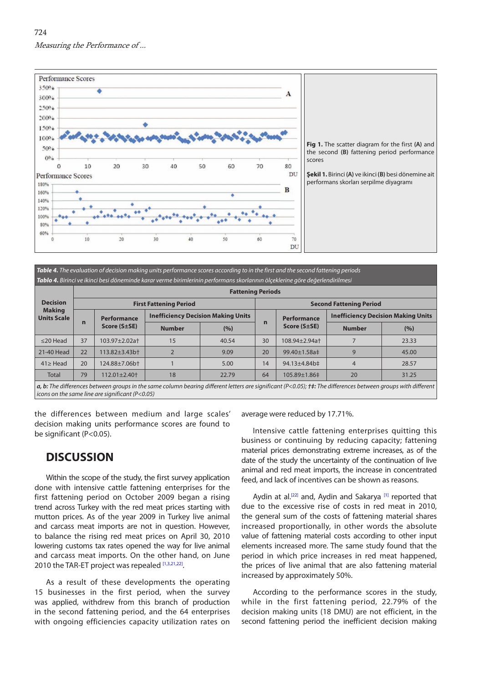<span id="page-5-0"></span>

*Table 4. The evaluation of decision making units performance scores according to in the first and the second fattening periods Tablo 4. Birinci ve ikinci besi döneminde karar verme birimlerinin performans skorlarının ölçeklerine göre değerlendirilmesi*

| <b>Decision</b><br><b>Making</b><br><b>Units Scale</b> | <b>Fattening Periods</b> |                                         |                                           |       |                                |                                           |                |       |  |  |  |
|--------------------------------------------------------|--------------------------|-----------------------------------------|-------------------------------------------|-------|--------------------------------|-------------------------------------------|----------------|-------|--|--|--|
|                                                        |                          |                                         | <b>First Fattening Period</b>             |       | <b>Second Fattening Period</b> |                                           |                |       |  |  |  |
|                                                        | $\mathbf n$              | <b>Performance</b><br>$Score(S \pm SE)$ | <b>Inefficiency Decision Making Units</b> |       | <b>Performance</b>             | <b>Inefficiency Decision Making Units</b> |                |       |  |  |  |
|                                                        |                          |                                         | <b>Number</b>                             | (%)   | n                              | Score $(S \pm SE)$                        | <b>Number</b>  | (%)   |  |  |  |
| $\leq$ 20 Head                                         | 37                       | 103.97±2.02a <sup>+</sup>               | 15                                        | 40.54 | 30                             | 108.94+2.94a+                             |                | 23.33 |  |  |  |
| 21-40 Head                                             | 22                       | $113.82 + 3.43$ bt                      |                                           | 9.09  | 20                             | 99.40±1.58a‡                              | 9              | 45.00 |  |  |  |
| $41 \geq$ Head                                         | 20                       | $124.88 \pm 7.06$ bt                    |                                           | 5.00  | 14                             | 94.13±4.84b‡                              | $\overline{4}$ | 28.57 |  |  |  |
| Total                                                  | 79                       | $112.01 \pm 2.40 \pm 1.00$              | 18                                        | 22.79 | 64                             | 105.89±1.86‡                              | 20             | 31.25 |  |  |  |
|                                                        |                          |                                         |                                           |       |                                |                                           |                |       |  |  |  |

*a, b: The differences between groups in the same column bearing different letters are significant (P<0.05); †‡: The differences between groups with different icons on the same line are significant (P<0.05)*

the differences between medium and large scales' decision making units performance scores are found to be significant (P<0.05).

# **DISCUSSION**

Within the scope of the study, the first survey application done with intensive cattle fattening enterprises for the first fattening period on October 2009 began a rising trend across Turkey with the red meat prices starting with mutton prices. As of the year 2009 in Turkey live animal and carcass meat imports are not in question. However, to balance the rising red meat prices on April 30, 2010 lowering customs tax rates opened the way for live animal and carcass meat imports. On the other hand, on June 2010 the TAR-ET project was repealed [\[1,3,21,22\]](#page-6-0).

As a result of these developments the operating 15 businesses in the first period, when the survey was applied, withdrew from this branch of production in the second fattening period, and the 64 enterprises with ongoing efficiencies capacity utilization rates on

average were reduced by 17.71%.

Intensive cattle fattening enterprises quitting this business or continuing by reducing capacity; fattening material prices demonstrating extreme increases, as of the date of the study the uncertainty of the continuation of live animal and red meat imports, the increase in concentrated feed, and lack of incentives can be shown as reasons.

Aydin at al.<sup>[22]</sup> and, Aydin and Sakarya<sup>[\[1\]](#page-6-0)</sup> reported that due to the excessive rise of costs in red meat in 2010, the general sum of the costs of fattening material shares increased proportionally, in other words the absolute value of fattening material costs according to other input elements increased more. The same study found that the period in which price increases in red meat happened, the prices of live animal that are also fattening material increased by approximately 50%.

According to the performance scores in the study, while in the first fattening period, 22.79% of the decision making units (18 DMU) are not efficient, in the second fattening period the inefficient decision making